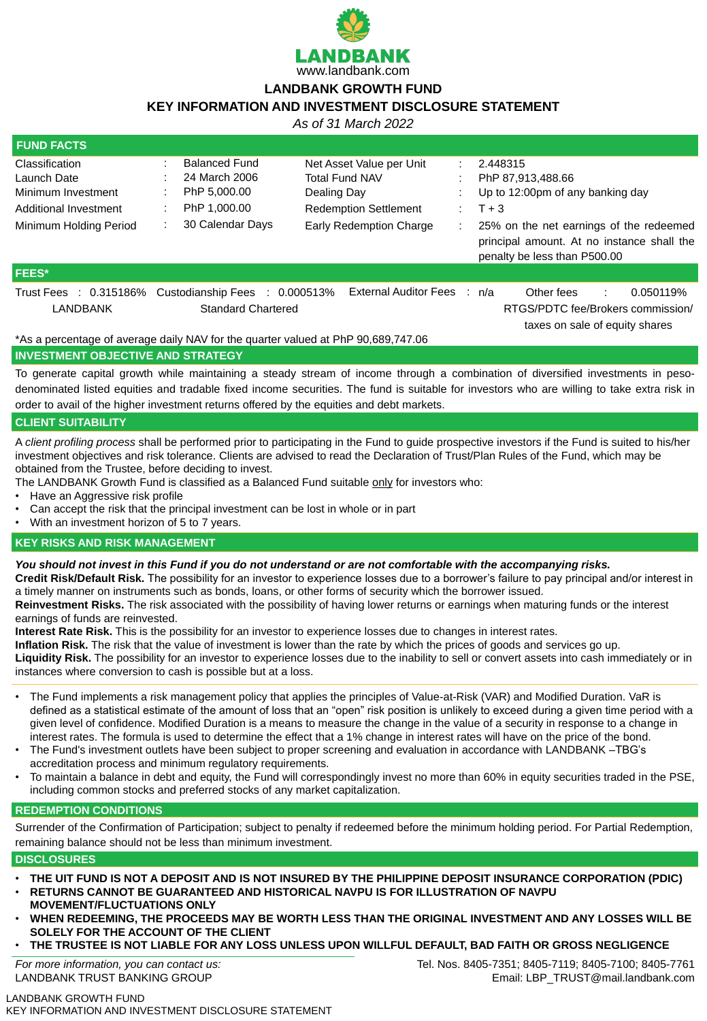

# **LANDBANK GROWTH FUND**

# **KEY INFORMATION AND INVESTMENT DISCLOSURE STATEMENT**

LANDBANK GROWTH FUND KEY INFORMATION AND INVESTMENT DISCLOSURE STATEMENT

*As of 31 March 2022*

| <b>FUND FACTS</b>                                                                                                           |                                                                                                                                                                         |                                                                                                                                    |                                                                                                                                                                                                       |
|-----------------------------------------------------------------------------------------------------------------------------|-------------------------------------------------------------------------------------------------------------------------------------------------------------------------|------------------------------------------------------------------------------------------------------------------------------------|-------------------------------------------------------------------------------------------------------------------------------------------------------------------------------------------------------|
| <b>Classification</b><br><b>Launch Date</b><br>Minimum Investment<br>Additional Investment<br><b>Minimum Holding Period</b> | <b>Balanced Fund</b><br>24 March 2006<br>PhP 5,000.00<br>PhP 1,000.00<br><b>30 Calendar Days</b>                                                                        | Net Asset Value per Unit<br><b>Total Fund NAV</b><br>Dealing Day<br><b>Redemption Settlement</b><br><b>Early Redemption Charge</b> | 2.448315<br>PhP 87,913,488.66<br>Up to 12:00pm of any banking day<br>$T + 3$<br>25% on the net earnings of the redeemed<br>principal amount. At no instance shall the<br>penalty be less than P500.00 |
| <b>FEES*</b>                                                                                                                |                                                                                                                                                                         |                                                                                                                                    |                                                                                                                                                                                                       |
| Trust Fees : 0.315186%<br><b>LANDBANK</b>                                                                                   | Custodianship Fees : 0.000513%<br><b>Standard Chartered</b><br>$*$ $\land$ $\circ$ $\circ$ parcentege of overage doily NIAV for the quester valued of DbD 00 COO 747 00 | <b>External Auditor Fees</b>                                                                                                       | Other fees<br>0.050119%<br>: n/a<br>$\sim 10^{-1}$<br>RTGS/PDTC fee/Brokers commission/<br>taxes on sale of equity shares                                                                             |

As a percentage of average daily NAV for the quarter valued at PhP 90,689,747.06

- Have an Aggressive risk profile
- Can accept the risk that the principal investment can be lost in whole or in part
- With an investment horizon of 5 to 7 years.

### **INVESTMENT OBJECTIVE AND STRATEGY**

To generate capital growth while maintaining a steady stream of income through a combination of diversified investments in pesodenominated listed equities and tradable fixed income securities. The fund is suitable for investors who are willing to take extra risk in order to avail of the higher investment returns offered by the equities and debt markets.

# **CLIENT SUITABILITY**

A *client profiling process* shall be performed prior to participating in the Fund to guide prospective investors if the Fund is suited to his/her investment objectives and risk tolerance. Clients are advised to read the Declaration of Trust/Plan Rules of the Fund, which may be obtained from the Trustee, before deciding to invest.

The LANDBANK Growth Fund is classified as a Balanced Fund suitable only for investors who:

### **KEY RISKS AND RISK MANAGEMENT**

### *You should not invest in this Fund if you do not understand or are not comfortable with the accompanying risks.*

**Credit Risk/Default Risk.** The possibility for an investor to experience losses due to a borrower's failure to pay principal and/or interest in

a timely manner on instruments such as bonds, loans, or other forms of security which the borrower issued.

**Reinvestment Risks.** The risk associated with the possibility of having lower returns or earnings when maturing funds or the interest earnings of funds are reinvested.

**Interest Rate Risk.** This is the possibility for an investor to experience losses due to changes in interest rates.

**Inflation Risk.** The risk that the value of investment is lower than the rate by which the prices of goods and services go up.

**Liquidity Risk.** The possibility for an investor to experience losses due to the inability to sell or convert assets into cash immediately or in instances where conversion to cash is possible but at a loss.

- The Fund implements a risk management policy that applies the principles of Value-at-Risk (VAR) and Modified Duration. VaR is defined as a statistical estimate of the amount of loss that an "open" risk position is unlikely to exceed during a given time period with a given level of confidence. Modified Duration is a means to measure the change in the value of a security in response to a change in interest rates. The formula is used to determine the effect that a 1% change in interest rates will have on the price of the bond.
- The Fund's investment outlets have been subject to proper screening and evaluation in accordance with LANDBANK –TBG's accreditation process and minimum regulatory requirements.
- To maintain a balance in debt and equity, the Fund will correspondingly invest no more than 60% in equity securities traded in the PSE, including common stocks and preferred stocks of any market capitalization.

# **REDEMPTION CONDITIONS**

Surrender of the Confirmation of Participation; subject to penalty if redeemed before the minimum holding period. For Partial Redemption, remaining balance should not be less than minimum investment.

# **DISCLOSURES**

- **THE UIT FUND IS NOT A DEPOSIT AND IS NOT INSURED BY THE PHILIPPINE DEPOSIT INSURANCE CORPORATION (PDIC)**
- **RETURNS CANNOT BE GUARANTEED AND HISTORICAL NAVPU IS FOR ILLUSTRATION OF NAVPU MOVEMENT/FLUCTUATIONS ONLY**
- **WHEN REDEEMING, THE PROCEEDS MAY BE WORTH LESS THAN THE ORIGINAL INVESTMENT AND ANY LOSSES WILL BE SOLELY FOR THE ACCOUNT OF THE CLIENT**
- **THE TRUSTEE IS NOT LIABLE FOR ANY LOSS UNLESS UPON WILLFUL DEFAULT, BAD FAITH OR GROSS NEGLIGENCE**

*For more information, you can contact us:* LANDBANK TRUST BANKING GROUP

Tel. Nos. 8405-7351; 8405-7119; 8405-7100; 8405-7761 Email: LBP\_TRUST@mail.landbank.com